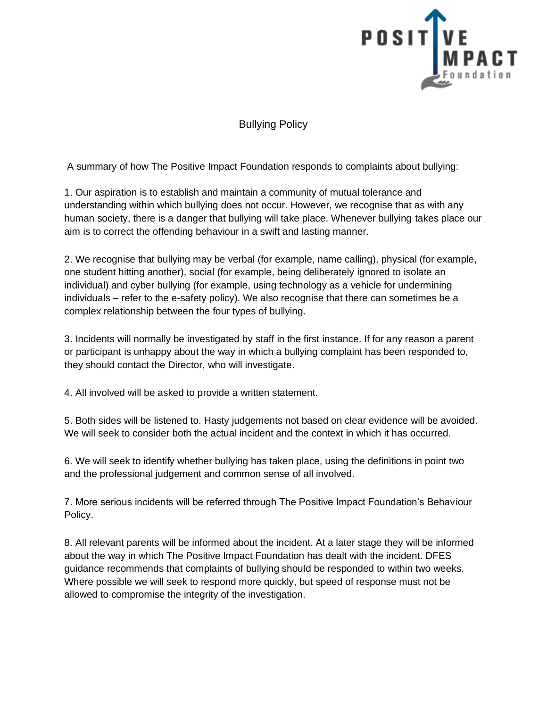

Bullying Policy

A summary of how The Positive Impact Foundation responds to complaints about bullying:

1. Our aspiration is to establish and maintain a community of mutual tolerance and understanding within which bullying does not occur. However, we recognise that as with any human society, there is a danger that bullying will take place. Whenever bullying takes place our aim is to correct the offending behaviour in a swift and lasting manner.

2. We recognise that bullying may be verbal (for example, name calling), physical (for example, one student hitting another), social (for example, being deliberately ignored to isolate an individual) and cyber bullying (for example, using technology as a vehicle for undermining individuals – refer to the e-safety policy). We also recognise that there can sometimes be a complex relationship between the four types of bullying.

3. Incidents will normally be investigated by staff in the first instance. If for any reason a parent or participant is unhappy about the way in which a bullying complaint has been responded to, they should contact the Director, who will investigate.

4. All involved will be asked to provide a written statement.

5. Both sides will be listened to. Hasty judgements not based on clear evidence will be avoided. We will seek to consider both the actual incident and the context in which it has occurred.

6. We will seek to identify whether bullying has taken place, using the definitions in point two and the professional judgement and common sense of all involved.

7. More serious incidents will be referred through The Positive Impact Foundation's Behaviour Policy.

8. All relevant parents will be informed about the incident. At a later stage they will be informed about the way in which The Positive Impact Foundation has dealt with the incident. DFES guidance recommends that complaints of bullying should be responded to within two weeks. Where possible we will seek to respond more quickly, but speed of response must not be allowed to compromise the integrity of the investigation.